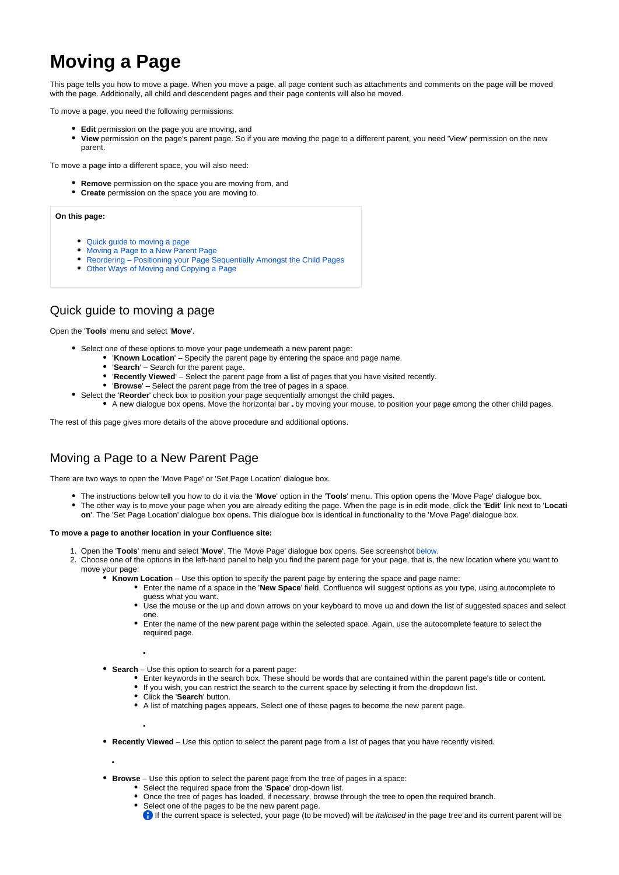# **Moving a Page**

This page tells you how to move a page. When you move a page, all page content such as attachments and comments on the page will be moved with the page. Additionally, all child and descendent pages and their page contents will also be moved.

To move a page, you need the following permissions:

- **Edit** permission on the page you are moving, and
- **View** permission on the page's parent page. So if you are moving the page to a different parent, you need 'View' permission on the new parent.

To move a page into a different space, you will also need:

- **Remove** permission on the space you are moving from, and
- **Create** permission on the space you are moving to.

#### **On this page:**

- [Quick guide to moving a page](#page-0-0)
- [Moving a Page to a New Parent Page](#page-0-1)
- [Reordering Positioning your Page Sequentially Amongst the Child Pages](#page-1-0)
- [Other Ways of Moving and Copying a Page](#page-1-1)

### <span id="page-0-0"></span>Quick guide to moving a page

Open the '**Tools**' menu and select '**Move**'.

- Select one of these options to move your page underneath a new parent page:
	- '**Known Location**' Specify the parent page by entering the space and page name.
		- '**Search**' Search for the parent page.
		- '**Recently Viewed**' Select the parent page from a list of pages that you have visited recently.
		- '**Browse**' Select the parent page from the tree of pages in a space.
- Select the '**Reorder**' check box to position your page sequentially amongst the child pages.
	- A new dialogue box opens. Move the horizontal bar by moving your mouse, to position your page among the other child pages.

The rest of this page gives more details of the above procedure and additional options.

## <span id="page-0-2"></span><span id="page-0-1"></span>Moving a Page to a New Parent Page

There are two ways to open the 'Move Page' or 'Set Page Location' dialogue box.

- The instructions below tell you how to do it via the '**Move**' option in the '**Tools**' menu. This option opens the 'Move Page' dialogue box.
- The other way is to move your page when you are already editing the page. When the page is in edit mode, click the '**Edit**' link next to '**Locati on**'. The 'Set Page Location' dialogue box opens. This dialogue box is identical in functionality to the 'Move Page' dialogue box.

#### **To move a page to another location in your Confluence site:**

- 1. Open the '**Tools**' menu and select '**Move**'. The 'Move Page' dialogue box opens. See screenshot [below](#page-1-2).
- 2. Choose one of the options in the left-hand panel to help you find the parent page for your page, that is, the new location where you want to move your page:
	- **Known Location** Use this option to specify the parent page by entering the space and page name:
		- Enter the name of a space in the '**New Space**' field. Confluence will suggest options as you type, using autocomplete to guess what you want.
		- Use the mouse or the up and down arrows on your keyboard to move up and down the list of suggested spaces and select one.
		- Enter the name of the new parent page within the selected space. Again, use the autocomplete feature to select the required page.

**Search** – Use this option to search for a parent page:

- Enter keywords in the search box. These should be words that are contained within the parent page's title or content.
- If you wish, you can restrict the search to the current space by selecting it from the dropdown list.
- Click the '**Search**' button.
- A list of matching pages appears. Select one of these pages to become the new parent page.
- **Recently Viewed** Use this option to select the parent page from a list of pages that you have recently visited.

**Browse** – Use this option to select the parent page from the tree of pages in a space:

- Select the required space from the '**Space**' drop-down list.
- Once the tree of pages has loaded, if necessary, browse through the tree to open the required branch.
- Select one of the pages to be the new parent page.
	- If the current space is selected, your page (to be moved) will be *italicised* in the page tree and its current parent will be